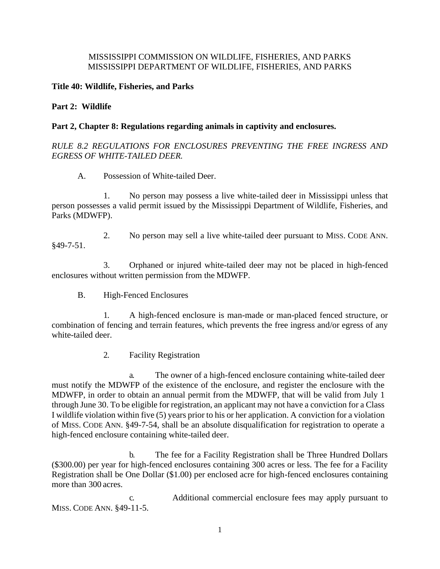### MISSISSIPPI COMMISSION ON WILDLIFE, FISHERIES, AND PARKS MISSISSIPPI DEPARTMENT OF WILDLIFE, FISHERIES, AND PARKS

### **Title 40: Wildlife, Fisheries, and Parks**

### **Part 2: Wildlife**

### **Part 2, Chapter 8: Regulations regarding animals in captivity and enclosures.**

# *RULE 8.2 REGULATIONS FOR ENCLOSURES PREVENTING THE FREE INGRESS AND EGRESS OF WHITE-TAILED DEER.*

A. Possession of White-tailed Deer.

1. No person may possess a live white-tailed deer in Mississippi unless that person possesses a valid permit issued by the Mississippi Department of Wildlife, Fisheries, and Parks (MDWFP).

2. No person may sell a live white-tailed deer pursuant to MISS. CODE ANN. §49-7-51.

3. Orphaned or injured white-tailed deer may not be placed in high-fenced enclosures without written permission from the MDWFP.

B. High-Fenced Enclosures

1. A high-fenced enclosure is man-made or man-placed fenced structure, or combination of fencing and terrain features, which prevents the free ingress and/or egress of any white-tailed deer.

2. Facility Registration

a. The owner of a high-fenced enclosure containing white-tailed deer must notify the MDWFP of the existence of the enclosure, and register the enclosure with the MDWFP, in order to obtain an annual permit from the MDWFP, that will be valid from July 1 through June 30. To be eligible for registration, an applicant may not have a conviction for a Class I wildlife violation within five (5) years prior to his or her application. A conviction for a violation of MISS. CODE ANN. §49-7-54, shall be an absolute disqualification for registration to operate a high-fenced enclosure containing white-tailed deer.

b. The fee for a Facility Registration shall be Three Hundred Dollars (\$300.00) per year for high-fenced enclosures containing 300 acres or less. The fee for a Facility Registration shall be One Dollar (\$1.00) per enclosed acre for high-fenced enclosures containing more than 300 acres.

c. Additional commercial enclosure fees may apply pursuant to MISS. CODE ANN. §49-11-5.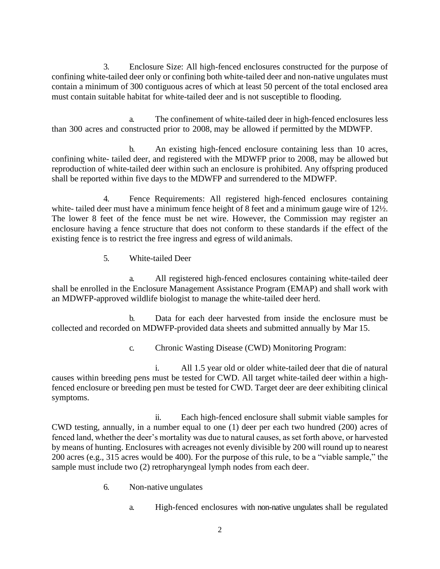3. Enclosure Size: All high-fenced enclosures constructed for the purpose of confining white-tailed deer only or confining both white-tailed deer and non-native ungulates must contain a minimum of 300 contiguous acres of which at least 50 percent of the total enclosed area must contain suitable habitat for white-tailed deer and is not susceptible to flooding.

a. The confinement of white-tailed deer in high-fenced enclosures less than 300 acres and constructed prior to 2008, may be allowed if permitted by the MDWFP.

b. An existing high-fenced enclosure containing less than 10 acres, confining white- tailed deer, and registered with the MDWFP prior to 2008, may be allowed but reproduction of white-tailed deer within such an enclosure is prohibited. Any offspring produced shall be reported within five days to the MDWFP and surrendered to the MDWFP.

4. Fence Requirements: All registered high-fenced enclosures containing white- tailed deer must have a minimum fence height of 8 feet and a minimum gauge wire of 12½. The lower 8 feet of the fence must be net wire. However, the Commission may register an enclosure having a fence structure that does not conform to these standards if the effect of the existing fence is to restrict the free ingress and egress of wild animals.

5. White-tailed Deer

a. All registered high-fenced enclosures containing white-tailed deer shall be enrolled in the Enclosure Management Assistance Program (EMAP) and shall work with an MDWFP-approved wildlife biologist to manage the white-tailed deer herd.

b. Data for each deer harvested from inside the enclosure must be collected and recorded on MDWFP-provided data sheets and submitted annually by Mar 15.

c. Chronic Wasting Disease (CWD) Monitoring Program:

i. All 1.5 year old or older white-tailed deer that die of natural causes within breeding pens must be tested for CWD. All target white-tailed deer within a highfenced enclosure or breeding pen must be tested for CWD. Target deer are deer exhibiting clinical symptoms.

ii. Each high-fenced enclosure shall submit viable samples for CWD testing, annually, in a number equal to one (1) deer per each two hundred (200) acres of fenced land, whether the deer's mortality was due to natural causes, as set forth above, or harvested by means of hunting. Enclosures with acreages not evenly divisible by 200 will round up to nearest 200 acres (e.g., 315 acres would be 400). For the purpose of this rule, to be a "viable sample," the sample must include two (2) retropharyngeal lymph nodes from each deer.

- 6. Non-native ungulates
	- a. High-fenced enclosures with non-native ungulates shall be regulated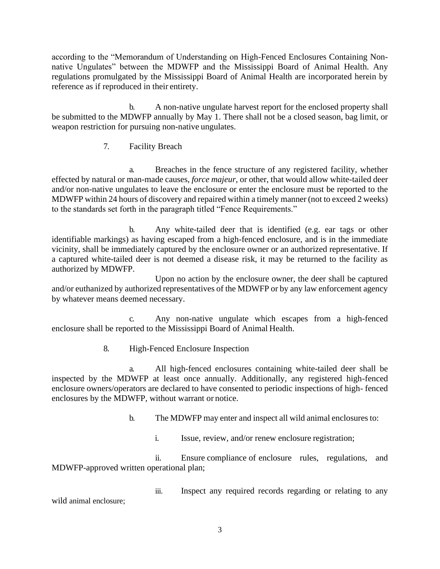according to the "Memorandum of Understanding on High-Fenced Enclosures Containing Nonnative Ungulates" between the MDWFP and the Mississippi Board of Animal Health. Any regulations promulgated by the Mississippi Board of Animal Health are incorporated herein by reference as if reproduced in their entirety.

b. A non-native ungulate harvest report for the enclosed property shall be submitted to the MDWFP annually by May 1. There shall not be a closed season, bag limit, or weapon restriction for pursuing non-native ungulates.

7. Facility Breach

a. Breaches in the fence structure of any registered facility, whether effected by natural or man-made causes, *force majeur*, or other, that would allow white-tailed deer and/or non-native ungulates to leave the enclosure or enter the enclosure must be reported to the MDWFP within 24 hours of discovery and repaired within a timely manner (not to exceed 2 weeks) to the standards set forth in the paragraph titled "Fence Requirements."

b. Any white-tailed deer that is identified (e.g. ear tags or other identifiable markings) as having escaped from a high-fenced enclosure, and is in the immediate vicinity, shall be immediately captured by the enclosure owner or an authorized representative. If a captured white-tailed deer is not deemed a disease risk, it may be returned to the facility as authorized by MDWFP.

Upon no action by the enclosure owner, the deer shall be captured and/or euthanized by authorized representatives of the MDWFP or by any law enforcement agency by whatever means deemed necessary.

c. Any non-native ungulate which escapes from a high-fenced enclosure shall be reported to the Mississippi Board of Animal Health.

8. High-Fenced Enclosure Inspection

a. All high-fenced enclosures containing white-tailed deer shall be inspected by the MDWFP at least once annually. Additionally, any registered high-fenced enclosure owners/operators are declared to have consented to periodic inspections of high- fenced enclosures by the MDWFP, without warrant or notice.

b. The MDWFP may enter and inspect all wild animal enclosures to:

i. Issue, review, and/or renew enclosure registration;

ii. Ensure compliance of enclosure rules, regulations, and MDWFP-approved written operational plan;

iii. Inspect any required records regarding or relating to any wild animal enclosure;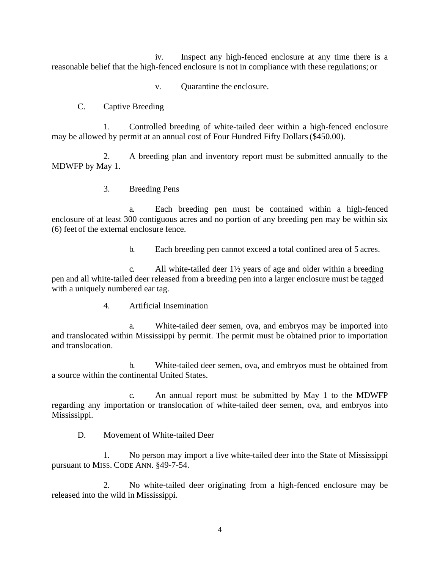iv. Inspect any high-fenced enclosure at any time there is a reasonable belief that the high-fenced enclosure is not in compliance with these regulations; or

v. Quarantine the enclosure.

# C. Captive Breeding

1. Controlled breeding of white-tailed deer within a high-fenced enclosure may be allowed by permit at an annual cost of Four Hundred Fifty Dollars(\$450.00).

2. A breeding plan and inventory report must be submitted annually to the MDWFP by May 1.

# 3. Breeding Pens

a. Each breeding pen must be contained within a high-fenced enclosure of at least 300 contiguous acres and no portion of any breeding pen may be within six (6) feet of the external enclosure fence.

b. Each breeding pen cannot exceed a total confined area of 5 acres.

c. All white-tailed deer 1½ years of age and older within a breeding pen and all white-tailed deer released from a breeding pen into a larger enclosure must be tagged with a uniquely numbered ear tag.

4. Artificial Insemination

a. White-tailed deer semen, ova, and embryos may be imported into and translocated within Mississippi by permit. The permit must be obtained prior to importation and translocation.

b. White-tailed deer semen, ova, and embryos must be obtained from a source within the continental United States.

c. An annual report must be submitted by May 1 to the MDWFP regarding any importation or translocation of white-tailed deer semen, ova, and embryos into Mississippi.

D. Movement of White-tailed Deer

1. No person may import a live white-tailed deer into the State of Mississippi pursuant to MISS. CODE ANN. §49-7-54.

2. No white-tailed deer originating from a high-fenced enclosure may be released into the wild in Mississippi.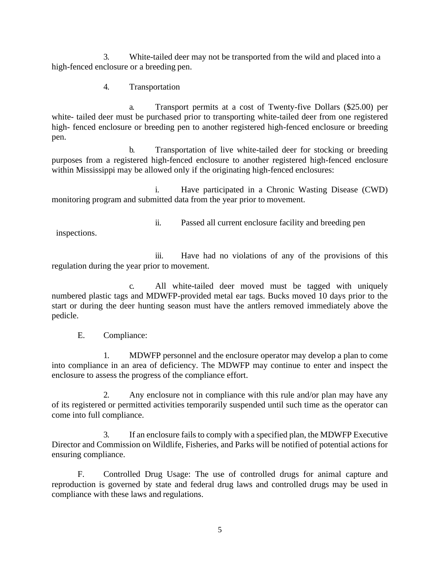3. White-tailed deer may not be transported from the wild and placed into a high-fenced enclosure or a breeding pen.

4. Transportation

a. Transport permits at a cost of Twenty-five Dollars (\$25.00) per white- tailed deer must be purchased prior to transporting white-tailed deer from one registered high- fenced enclosure or breeding pen to another registered high-fenced enclosure or breeding pen.

b. Transportation of live white-tailed deer for stocking or breeding purposes from a registered high-fenced enclosure to another registered high-fenced enclosure within Mississippi may be allowed only if the originating high-fenced enclosures:

i. Have participated in a Chronic Wasting Disease (CWD) monitoring program and submitted data from the year prior to movement.

inspections.

ii. Passed all current enclosure facility and breeding pen

iii. Have had no violations of any of the provisions of this regulation during the year prior to movement.

c. All white-tailed deer moved must be tagged with uniquely numbered plastic tags and MDWFP-provided metal ear tags. Bucks moved 10 days prior to the start or during the deer hunting season must have the antlers removed immediately above the pedicle.

E. Compliance:

1. MDWFP personnel and the enclosure operator may develop a plan to come into compliance in an area of deficiency. The MDWFP may continue to enter and inspect the enclosure to assess the progress of the compliance effort.

2. Any enclosure not in compliance with this rule and/or plan may have any of its registered or permitted activities temporarily suspended until such time as the operator can come into full compliance.

3. If an enclosure fails to comply with a specified plan, the MDWFP Executive Director and Commission on Wildlife, Fisheries, and Parks will be notified of potential actions for ensuring compliance.

F. Controlled Drug Usage: The use of controlled drugs for animal capture and reproduction is governed by state and federal drug laws and controlled drugs may be used in compliance with these laws and regulations.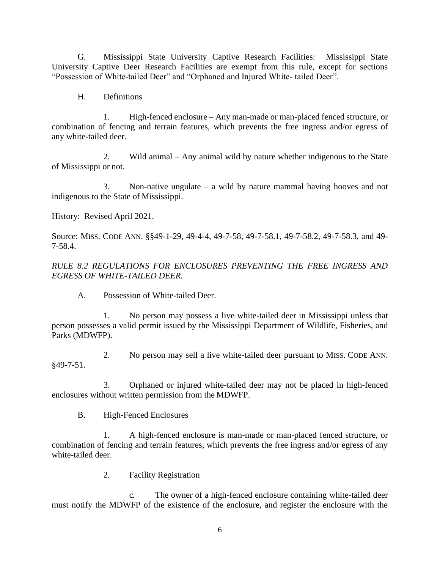G. Mississippi State University Captive Research Facilities: Mississippi State University Captive Deer Research Facilities are exempt from this rule, except for sections "Possession of White-tailed Deer" and "Orphaned and Injured White- tailed Deer".

H. Definitions

1. High-fenced enclosure – Any man-made or man-placed fenced structure, or combination of fencing and terrain features, which prevents the free ingress and/or egress of any white-tailed deer.

2. Wild animal – Any animal wild by nature whether indigenous to the State of Mississippi or not.

3. Non-native ungulate – a wild by nature mammal having hooves and not indigenous to the State of Mississippi.

History: Revised April 2021.

Source: MISS. CODE ANN. §§49-1-29, 49-4-4, 49-7-58, 49-7-58.1, 49-7-58.2, 49-7-58.3, and 49- 7-58.4.

### *RULE 8.2 REGULATIONS FOR ENCLOSURES PREVENTING THE FREE INGRESS AND EGRESS OF WHITE-TAILED DEER.*

A. Possession of White-tailed Deer.

1. No person may possess a live white-tailed deer in Mississippi unless that person possesses a valid permit issued by the Mississippi Department of Wildlife, Fisheries, and Parks (MDWFP).

2. No person may sell a live white-tailed deer pursuant to MISS. CODE ANN. §49-7-51.

3. Orphaned or injured white-tailed deer may not be placed in high-fenced enclosures without written permission from the MDWFP.

B. High-Fenced Enclosures

1. A high-fenced enclosure is man-made or man-placed fenced structure, or combination of fencing and terrain features, which prevents the free ingress and/or egress of any white-tailed deer.

2. Facility Registration

c. The owner of a high-fenced enclosure containing white-tailed deer must notify the MDWFP of the existence of the enclosure, and register the enclosure with the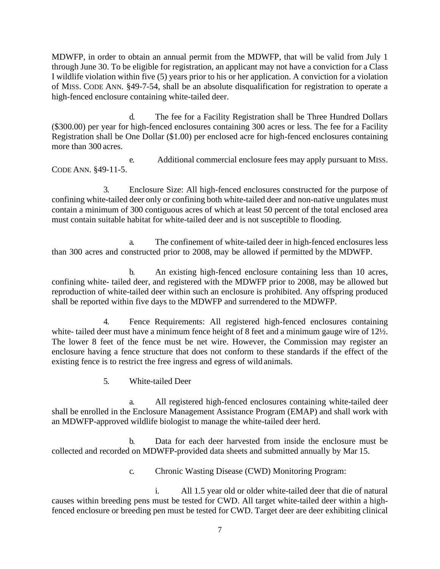MDWFP, in order to obtain an annual permit from the MDWFP, that will be valid from July 1 through June 30. To be eligible for registration, an applicant may not have a conviction for a Class I wildlife violation within five (5) years prior to his or her application. A conviction for a violation of MISS. CODE ANN. §49-7-54, shall be an absolute disqualification for registration to operate a high-fenced enclosure containing white-tailed deer.

d. The fee for a Facility Registration shall be Three Hundred Dollars (\$300.00) per year for high-fenced enclosures containing 300 acres or less. The fee for a Facility Registration shall be One Dollar (\$1.00) per enclosed acre for high-fenced enclosures containing more than 300 acres.

e. Additional commercial enclosure fees may apply pursuant to MISS. CODE ANN. §49-11-5.

3. Enclosure Size: All high-fenced enclosures constructed for the purpose of confining white-tailed deer only or confining both white-tailed deer and non-native ungulates must contain a minimum of 300 contiguous acres of which at least 50 percent of the total enclosed area must contain suitable habitat for white-tailed deer and is not susceptible to flooding.

a. The confinement of white-tailed deer in high-fenced enclosures less than 300 acres and constructed prior to 2008, may be allowed if permitted by the MDWFP.

b. An existing high-fenced enclosure containing less than 10 acres, confining white- tailed deer, and registered with the MDWFP prior to 2008, may be allowed but reproduction of white-tailed deer within such an enclosure is prohibited. Any offspring produced shall be reported within five days to the MDWFP and surrendered to the MDWFP.

4. Fence Requirements: All registered high-fenced enclosures containing white- tailed deer must have a minimum fence height of 8 feet and a minimum gauge wire of 12½. The lower 8 feet of the fence must be net wire. However, the Commission may register an enclosure having a fence structure that does not conform to these standards if the effect of the existing fence is to restrict the free ingress and egress of wild animals.

5. White-tailed Deer

a. All registered high-fenced enclosures containing white-tailed deer shall be enrolled in the Enclosure Management Assistance Program (EMAP) and shall work with an MDWFP-approved wildlife biologist to manage the white-tailed deer herd.

b. Data for each deer harvested from inside the enclosure must be collected and recorded on MDWFP-provided data sheets and submitted annually by Mar 15.

c. Chronic Wasting Disease (CWD) Monitoring Program:

i. All 1.5 year old or older white-tailed deer that die of natural causes within breeding pens must be tested for CWD. All target white-tailed deer within a highfenced enclosure or breeding pen must be tested for CWD. Target deer are deer exhibiting clinical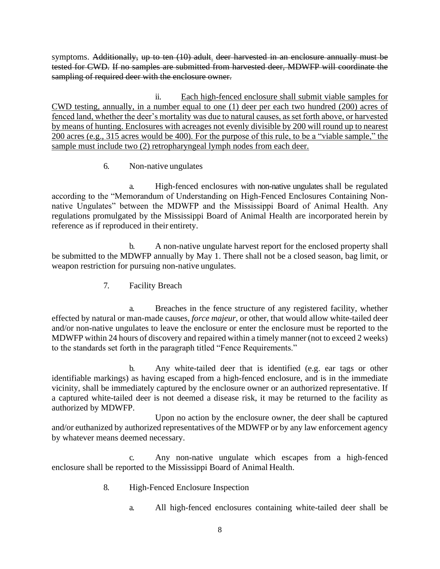symptoms. Additionally, up to ten  $(10)$  adult. deer harvested in an enclosure annually must be tested for CWD. If no samples are submitted from harvested deer, MDWFP will coordinate the sampling of required deer with the enclosure owner.

ii. Each high-fenced enclosure shall submit viable samples for CWD testing, annually, in a number equal to one (1) deer per each two hundred (200) acres of fenced land, whether the deer's mortality was due to natural causes, as set forth above, or harvested by means of hunting. Enclosures with acreages not evenly divisible by 200 will round up to nearest 200 acres (e.g., 315 acres would be 400). For the purpose of this rule, to be a "viable sample," the sample must include two (2) retropharyngeal lymph nodes from each deer.

6. Non-native ungulates

a. High-fenced enclosures with non-native ungulates shall be regulated according to the "Memorandum of Understanding on High-Fenced Enclosures Containing Nonnative Ungulates" between the MDWFP and the Mississippi Board of Animal Health. Any regulations promulgated by the Mississippi Board of Animal Health are incorporated herein by reference as if reproduced in their entirety.

b. A non-native ungulate harvest report for the enclosed property shall be submitted to the MDWFP annually by May 1. There shall not be a closed season, bag limit, or weapon restriction for pursuing non-native ungulates.

7. Facility Breach

a. Breaches in the fence structure of any registered facility, whether effected by natural or man-made causes, *force majeur*, or other, that would allow white-tailed deer and/or non-native ungulates to leave the enclosure or enter the enclosure must be reported to the MDWFP within 24 hours of discovery and repaired within a timely manner (not to exceed 2 weeks) to the standards set forth in the paragraph titled "Fence Requirements."

b. Any white-tailed deer that is identified (e.g. ear tags or other identifiable markings) as having escaped from a high-fenced enclosure, and is in the immediate vicinity, shall be immediately captured by the enclosure owner or an authorized representative. If a captured white-tailed deer is not deemed a disease risk, it may be returned to the facility as authorized by MDWFP.

Upon no action by the enclosure owner, the deer shall be captured and/or euthanized by authorized representatives of the MDWFP or by any law enforcement agency by whatever means deemed necessary.

c. Any non-native ungulate which escapes from a high-fenced enclosure shall be reported to the Mississippi Board of Animal Health.

- 8. High-Fenced Enclosure Inspection
	- a. All high-fenced enclosures containing white-tailed deer shall be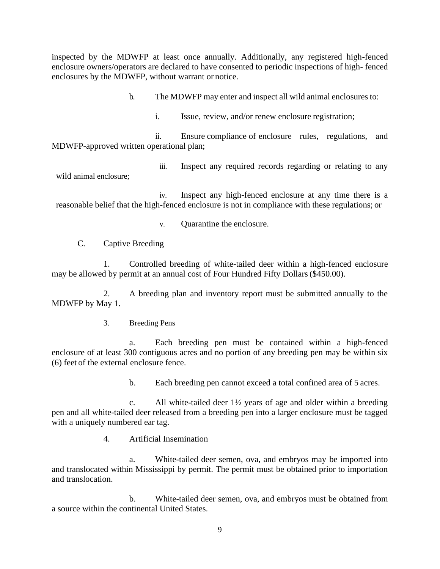inspected by the MDWFP at least once annually. Additionally, any registered high-fenced enclosure owners/operators are declared to have consented to periodic inspections of high- fenced enclosures by the MDWFP, without warrant or notice.

b. The MDWFP may enter and inspect all wild animal enclosures to:

i. Issue, review, and/or renew enclosure registration;

ii. Ensure compliance of enclosure rules, regulations, and MDWFP-approved written operational plan;

iii. Inspect any required records regarding or relating to any

wild animal enclosure;

iv. Inspect any high-fenced enclosure at any time there is a reasonable belief that the high-fenced enclosure is not in compliance with these regulations; or

v. Quarantine the enclosure.

C. Captive Breeding

1. Controlled breeding of white-tailed deer within a high-fenced enclosure may be allowed by permit at an annual cost of Four Hundred Fifty Dollars(\$450.00).

2. A breeding plan and inventory report must be submitted annually to the MDWFP by May 1.

3. Breeding Pens

a. Each breeding pen must be contained within a high-fenced enclosure of at least 300 contiguous acres and no portion of any breeding pen may be within six (6) feet of the external enclosure fence.

b. Each breeding pen cannot exceed a total confined area of 5 acres.

c. All white-tailed deer 1½ years of age and older within a breeding pen and all white-tailed deer released from a breeding pen into a larger enclosure must be tagged with a uniquely numbered ear tag.

4. Artificial Insemination

a. White-tailed deer semen, ova, and embryos may be imported into and translocated within Mississippi by permit. The permit must be obtained prior to importation and translocation.

b. White-tailed deer semen, ova, and embryos must be obtained from a source within the continental United States.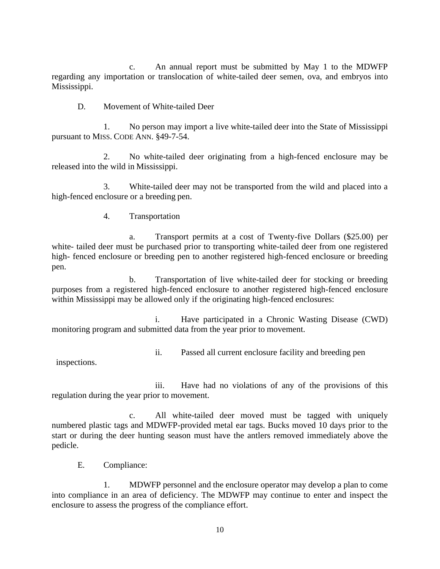c. An annual report must be submitted by May 1 to the MDWFP regarding any importation or translocation of white-tailed deer semen, ova, and embryos into Mississippi.

D. Movement of White-tailed Deer

1. No person may import a live white-tailed deer into the State of Mississippi pursuant to MISS. CODE ANN. §49-7-54.

2. No white-tailed deer originating from a high-fenced enclosure may be released into the wild in Mississippi.

3. White-tailed deer may not be transported from the wild and placed into a high-fenced enclosure or a breeding pen.

4. Transportation

a. Transport permits at a cost of Twenty-five Dollars (\$25.00) per white- tailed deer must be purchased prior to transporting white-tailed deer from one registered high- fenced enclosure or breeding pen to another registered high-fenced enclosure or breeding pen.

b. Transportation of live white-tailed deer for stocking or breeding purposes from a registered high-fenced enclosure to another registered high-fenced enclosure within Mississippi may be allowed only if the originating high-fenced enclosures:

i. Have participated in a Chronic Wasting Disease (CWD) monitoring program and submitted data from the year prior to movement.

ii. Passed all current enclosure facility and breeding pen

inspections.

iii. Have had no violations of any of the provisions of this regulation during the year prior to movement.

c. All white-tailed deer moved must be tagged with uniquely numbered plastic tags and MDWFP-provided metal ear tags. Bucks moved 10 days prior to the start or during the deer hunting season must have the antlers removed immediately above the pedicle.

E. Compliance:

1. MDWFP personnel and the enclosure operator may develop a plan to come into compliance in an area of deficiency. The MDWFP may continue to enter and inspect the enclosure to assess the progress of the compliance effort.